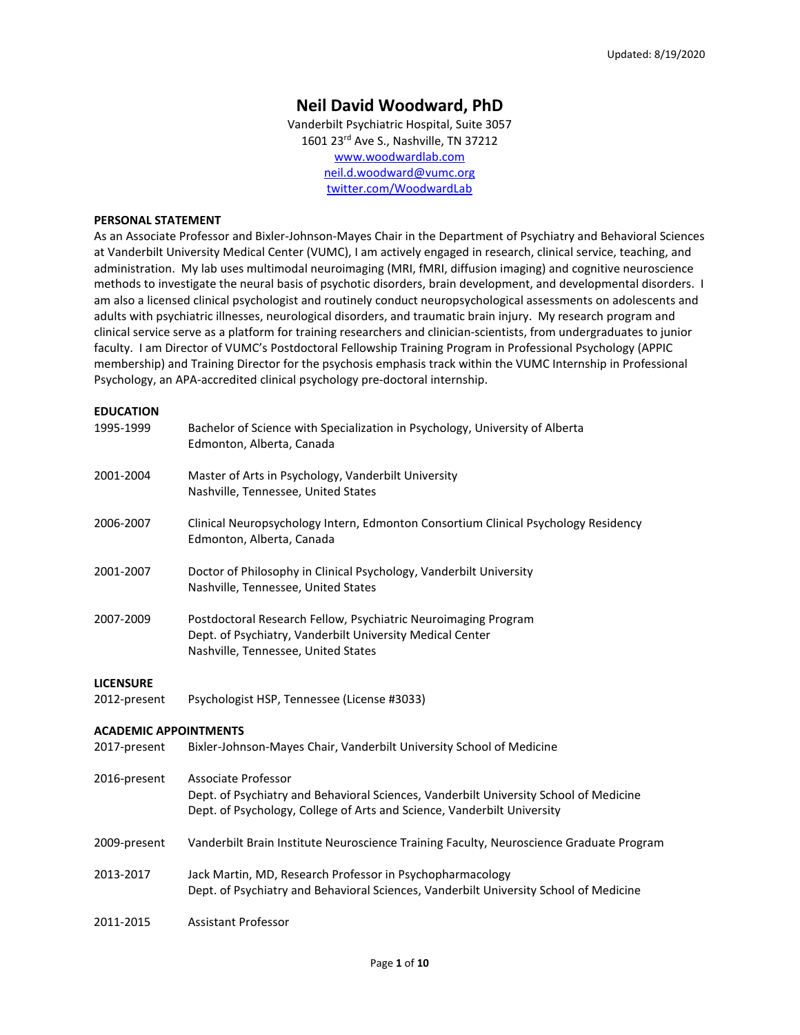# **Neil David Woodward, PhD**

Vanderbilt Psychiatric Hospital, Suite 3057 1601 23<sup>rd</sup> Ave S., Nashville, TN 37212 [www.woodwardlab.com](http://www.woodwardlab.com/) [neil.d.woodward@vumc.org](mailto:neil.d.woodward@vumc.org) twitter.com/WoodwardLab

#### **PERSONAL STATEMENT**

As an Associate Professor and Bixler-Johnson-Mayes Chair in the Department of Psychiatry and Behavioral Sciences at Vanderbilt University Medical Center (VUMC), I am actively engaged in research, clinical service, teaching, and administration. My lab uses multimodal neuroimaging (MRI, fMRI, diffusion imaging) and cognitive neuroscience methods to investigate the neural basis of psychotic disorders, brain development, and developmental disorders. I am also a licensed clinical psychologist and routinely conduct neuropsychological assessments on adolescents and adults with psychiatric illnesses, neurological disorders, and traumatic brain injury. My research program and clinical service serve as a platform for training researchers and clinician-scientists, from undergraduates to junior faculty. I am Director of VUMC's Postdoctoral Fellowship Training Program in Professional Psychology (APPIC membership) and Training Director for the psychosis emphasis track within the VUMC Internship in Professional Psychology, an APA-accredited clinical psychology pre-doctoral internship.

# **EDUCATION** 1995-1999 Bachelor of Science with Specialization in Psychology, University of Alberta Edmonton, Alberta, Canada 2001-2004 Master of Arts in Psychology, Vanderbilt University Nashville, Tennessee, United States 2006-2007 Clinical Neuropsychology Intern, Edmonton Consortium Clinical Psychology Residency Edmonton, Alberta, Canada 2001-2007 Doctor of Philosophy in Clinical Psychology, Vanderbilt University Nashville, Tennessee, United States 2007-2009 Postdoctoral Research Fellow, Psychiatric Neuroimaging Program Dept. of Psychiatry, Vanderbilt University Medical Center Nashville, Tennessee, United States **LICENSURE** 2012-present Psychologist HSP, Tennessee (License #3033) **ACADEMIC APPOINTMENTS** 2017-present Bixler-Johnson-Mayes Chair, Vanderbilt University School of Medicine 2016-present Associate Professor Dept. of Psychiatry and Behavioral Sciences, Vanderbilt University School of Medicine Dept. of Psychology, College of Arts and Science, Vanderbilt University 2009-present Vanderbilt Brain Institute Neuroscience Training Faculty, Neuroscience Graduate Program 2013-2017 Jack Martin, MD, Research Professor in Psychopharmacology Dept. of Psychiatry and Behavioral Sciences, Vanderbilt University School of Medicine 2011-2015 Assistant Professor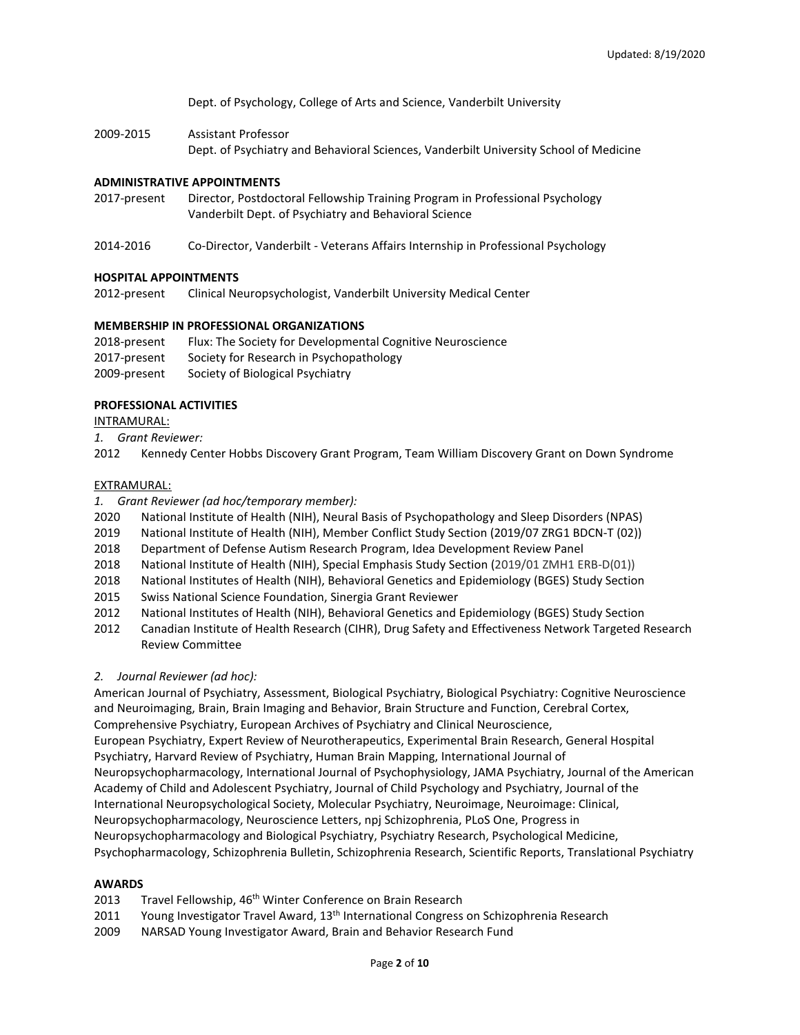Dept. of Psychology, College of Arts and Science, Vanderbilt University

2009-2015 Assistant Professor Dept. of Psychiatry and Behavioral Sciences, Vanderbilt University School of Medicine

#### **ADMINISTRATIVE APPOINTMENTS**

- 2017-present Director, Postdoctoral Fellowship Training Program in Professional Psychology Vanderbilt Dept. of Psychiatry and Behavioral Science
- 2014-2016 Co-Director, Vanderbilt Veterans Affairs Internship in Professional Psychology

## **HOSPITAL APPOINTMENTS**

2012-present Clinical Neuropsychologist, Vanderbilt University Medical Center

## **MEMBERSHIP IN PROFESSIONAL ORGANIZATIONS**

2018-present Flux: The Society for Developmental Cognitive Neuroscience 2017-present Society for Research in Psychopathology 2009-present Society of Biological Psychiatry

## **PROFESSIONAL ACTIVITIES**

INTRAMURAL:

*1. Grant Reviewer:*

2012 Kennedy Center Hobbs Discovery Grant Program, Team William Discovery Grant on Down Syndrome

## EXTRAMURAL:

- *1. Grant Reviewer (ad hoc/temporary member):*
- 2020 National Institute of Health (NIH), Neural Basis of Psychopathology and Sleep Disorders (NPAS)
- 2019 National Institute of Health (NIH), Member Conflict Study Section (2019/07 ZRG1 BDCN-T (02))
- 2018 Department of Defense Autism Research Program, Idea Development Review Panel
- 2018 National Institute of Health (NIH), Special Emphasis Study Section (2019/01 ZMH1 ERB-D(01))
- 2018 National Institutes of Health (NIH), Behavioral Genetics and Epidemiology (BGES) Study Section
- 2015 Swiss National Science Foundation, Sinergia Grant Reviewer
- 2012 National Institutes of Health (NIH), Behavioral Genetics and Epidemiology (BGES) Study Section
- 2012 Canadian Institute of Health Research (CIHR), Drug Safety and Effectiveness Network Targeted Research Review Committee

# *2. Journal Reviewer (ad hoc):*

American Journal of Psychiatry, Assessment, Biological Psychiatry, Biological Psychiatry: Cognitive Neuroscience and Neuroimaging, Brain, Brain Imaging and Behavior, Brain Structure and Function, Cerebral Cortex, Comprehensive Psychiatry, European Archives of Psychiatry and Clinical Neuroscience, European Psychiatry, Expert Review of Neurotherapeutics, Experimental Brain Research, General Hospital Psychiatry, Harvard Review of Psychiatry, Human Brain Mapping, International Journal of Neuropsychopharmacology, International Journal of Psychophysiology, JAMA Psychiatry, Journal of the American Academy of Child and Adolescent Psychiatry, Journal of Child Psychology and Psychiatry, Journal of the International Neuropsychological Society, Molecular Psychiatry, Neuroimage, Neuroimage: Clinical, Neuropsychopharmacology, Neuroscience Letters, npj Schizophrenia, PLoS One, Progress in Neuropsychopharmacology and Biological Psychiatry, Psychiatry Research, Psychological Medicine, Psychopharmacology, Schizophrenia Bulletin, Schizophrenia Research, Scientific Reports, Translational Psychiatry

# **AWARDS**

- 2013 Travel Fellowship, 46<sup>th</sup> Winter Conference on Brain Research
- 2011 Young Investigator Travel Award, 13<sup>th</sup> International Congress on Schizophrenia Research
- 2009 NARSAD Young Investigator Award, Brain and Behavior Research Fund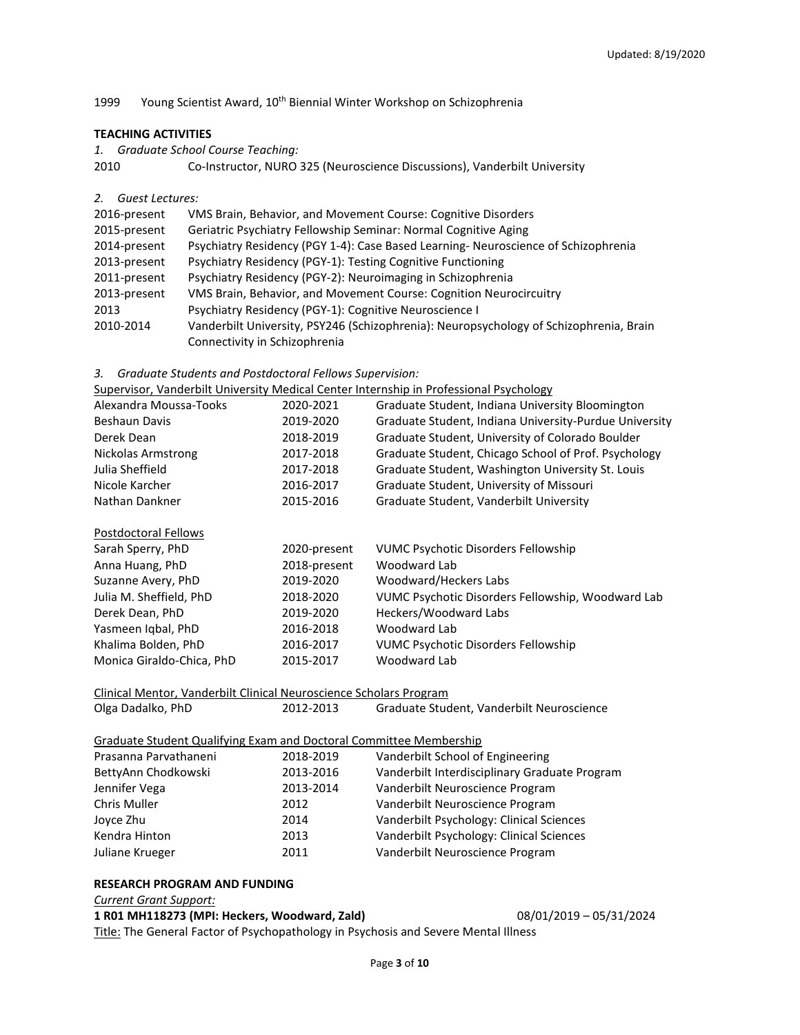# 1999 Young Scientist Award, 10<sup>th</sup> Biennial Winter Workshop on Schizophrenia

# **TEACHING ACTIVITIES**

| 1. | <b>Graduate School Course Teaching:</b> |  |  |  |
|----|-----------------------------------------|--|--|--|
|----|-----------------------------------------|--|--|--|

2010 Co-Instructor, NURO 325 (Neuroscience Discussions), Vanderbilt University

*2. Guest Lectures:*

| 2016-present | VMS Brain, Behavior, and Movement Course: Cognitive Disorders                          |
|--------------|----------------------------------------------------------------------------------------|
| 2015-present | Geriatric Psychiatry Fellowship Seminar: Normal Cognitive Aging                        |
| 2014-present | Psychiatry Residency (PGY 1-4): Case Based Learning- Neuroscience of Schizophrenia     |
| 2013-present | Psychiatry Residency (PGY-1): Testing Cognitive Functioning                            |
| 2011-present | Psychiatry Residency (PGY-2): Neuroimaging in Schizophrenia                            |
| 2013-present | VMS Brain, Behavior, and Movement Course: Cognition Neurocircuitry                     |
| 2013         | Psychiatry Residency (PGY-1): Cognitive Neuroscience I                                 |
| 2010-2014    | Vanderbilt University, PSY246 (Schizophrenia): Neuropsychology of Schizophrenia, Brain |
|              | Connectivity in Schizophrenia                                                          |

*3. Graduate Students and Postdoctoral Fellows Supervision:*

|  | Supervisor, Vanderbilt University Medical Center Internship in Professional Psychology |
|--|----------------------------------------------------------------------------------------|
|  |                                                                                        |

| Alexandra Moussa-Tooks                                             | 2020-2021    | Graduate Student, Indiana University Bloomington       |  |  |  |
|--------------------------------------------------------------------|--------------|--------------------------------------------------------|--|--|--|
| <b>Beshaun Davis</b>                                               | 2019-2020    | Graduate Student, Indiana University-Purdue University |  |  |  |
| Derek Dean                                                         | 2018-2019    | Graduate Student, University of Colorado Boulder       |  |  |  |
| Nickolas Armstrong                                                 | 2017-2018    | Graduate Student, Chicago School of Prof. Psychology   |  |  |  |
| Julia Sheffield                                                    | 2017-2018    | Graduate Student, Washington University St. Louis      |  |  |  |
| Nicole Karcher                                                     | 2016-2017    | Graduate Student, University of Missouri               |  |  |  |
| Nathan Dankner                                                     | 2015-2016    | Graduate Student, Vanderbilt University                |  |  |  |
| Postdoctoral Fellows                                               |              |                                                        |  |  |  |
| Sarah Sperry, PhD                                                  | 2020-present | VUMC Psychotic Disorders Fellowship                    |  |  |  |
| Anna Huang, PhD                                                    | 2018-present | Woodward Lab                                           |  |  |  |
| Suzanne Avery, PhD                                                 | 2019-2020    | Woodward/Heckers Labs                                  |  |  |  |
| Julia M. Sheffield, PhD                                            | 2018-2020    | VUMC Psychotic Disorders Fellowship, Woodward Lab      |  |  |  |
| Derek Dean, PhD                                                    | 2019-2020    | Heckers/Woodward Labs                                  |  |  |  |
| Yasmeen Igbal, PhD                                                 | 2016-2018    | Woodward Lab                                           |  |  |  |
| Khalima Bolden, PhD                                                | 2016-2017    | <b>VUMC Psychotic Disorders Fellowship</b>             |  |  |  |
| Monica Giraldo-Chica, PhD                                          | 2015-2017    | Woodward Lab                                           |  |  |  |
| Clinical Mentor, Vanderbilt Clinical Neuroscience Scholars Program |              |                                                        |  |  |  |
| Olga Dadalko, PhD<br>2012-2013                                     |              | Graduate Student, Vanderbilt Neuroscience              |  |  |  |

# Graduate Student Qualifying Exam and Doctoral Committee Membership

| Prasanna Parvathaneni | 2018-2019 | Vanderbilt School of Engineering              |
|-----------------------|-----------|-----------------------------------------------|
| BettyAnn Chodkowski   | 2013-2016 | Vanderbilt Interdisciplinary Graduate Program |
| Jennifer Vega         | 2013-2014 | Vanderbilt Neuroscience Program               |
| <b>Chris Muller</b>   | 2012      | Vanderbilt Neuroscience Program               |
| Joyce Zhu             | 2014      | Vanderbilt Psychology: Clinical Sciences      |
| Kendra Hinton         | 2013      | Vanderbilt Psychology: Clinical Sciences      |
| Juliane Krueger       | 2011      | Vanderbilt Neuroscience Program               |

#### **RESEARCH PROGRAM AND FUNDING**

*Current Grant Support:*

#### **1 R01 MH118273 (MPI: Heckers, Woodward, Zald)** 08/01/2019 – 05/31/2024

Title: The General Factor of Psychopathology in Psychosis and Severe Mental Illness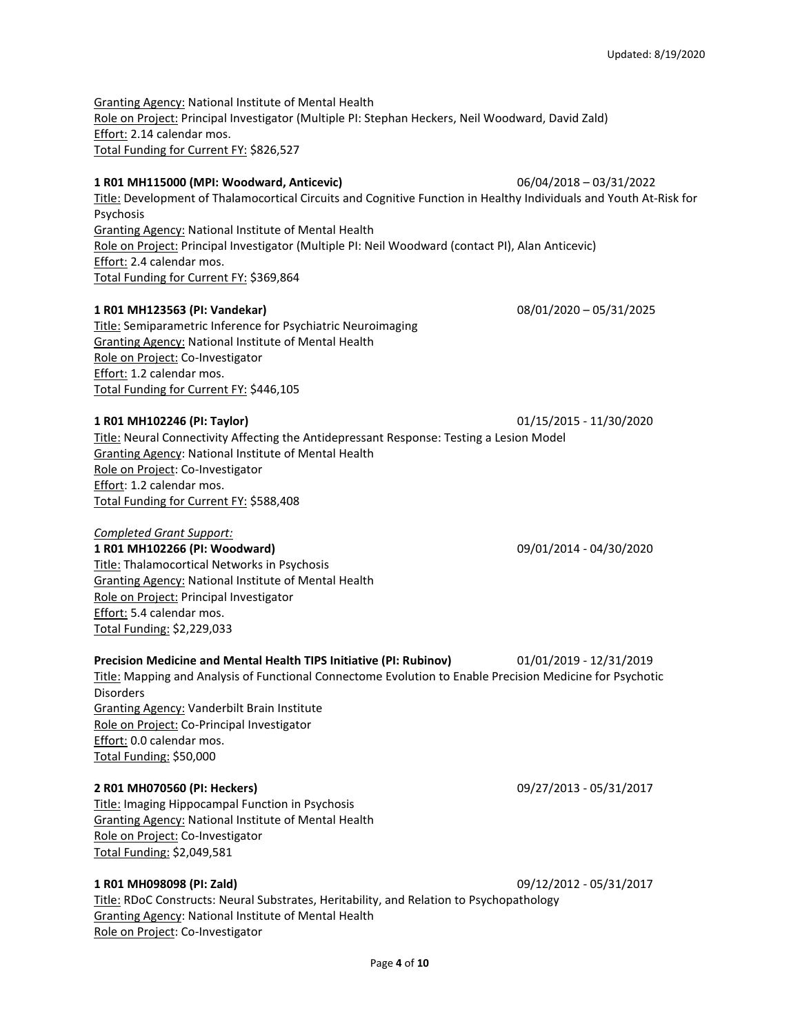Granting Agency: National Institute of Mental Health Role on Project: Principal Investigator (Multiple PI: Stephan Heckers, Neil Woodward, David Zald) Effort: 2.14 calendar mos. Total Funding for Current FY: \$826,527

## **1 R01 MH115000 (MPI: Woodward, Anticevic)** 06/04/2018 – 03/31/2022

Title: Development of Thalamocortical Circuits and Cognitive Function in Healthy Individuals and Youth At-Risk for Psychosis Granting Agency: National Institute of Mental Health Role on Project: Principal Investigator (Multiple PI: Neil Woodward (contact PI), Alan Anticevic)

Effort: 2.4 calendar mos. Total Funding for Current FY: \$369,864

## **1 R01 MH123563 (PI: Vandekar)** 08/01/2020 – 05/31/2025

Title: Semiparametric Inference for Psychiatric Neuroimaging Granting Agency: National Institute of Mental Health Role on Project: Co-Investigator Effort: 1.2 calendar mos. Total Funding for Current FY: \$446,105

## **1 R01 MH102246 (PI: Taylor)** 01/15/2015 - 11/30/2020

Title: Neural Connectivity Affecting the Antidepressant Response: Testing a Lesion Model Granting Agency: National Institute of Mental Health Role on Project: Co-Investigator Effort: 1.2 calendar mos. Total Funding for Current FY: \$588,408

#### *Completed Grant Support:*

**1 R01 MH102266 (PI: Woodward)** 09/01/2014 - 04/30/2020 Title: Thalamocortical Networks in Psychosis Granting Agency: National Institute of Mental Health Role on Project: Principal Investigator Effort: 5.4 calendar mos. Total Funding: \$2,229,033

**Precision Medicine and Mental Health TIPS Initiative (PI: Rubinov)** 01/01/2019 - 12/31/2019 Title: Mapping and Analysis of Functional Connectome Evolution to Enable Precision Medicine for Psychotic **Disorders** Granting Agency: Vanderbilt Brain Institute Role on Project: Co-Principal Investigator Effort: 0.0 calendar mos. Total Funding: \$50,000

#### **2 R01 MH070560 (PI: Heckers)** 09/27/2013 - 05/31/2017

Title: Imaging Hippocampal Function in Psychosis Granting Agency: National Institute of Mental Health Role on Project: Co-Investigator Total Funding: \$2,049,581

# **1 R01 MH098098 (PI: Zald)** 09/12/2012 - 05/31/2017

Title: RDoC Constructs: Neural Substrates, Heritability, and Relation to Psychopathology Granting Agency: National Institute of Mental Health Role on Project: Co-Investigator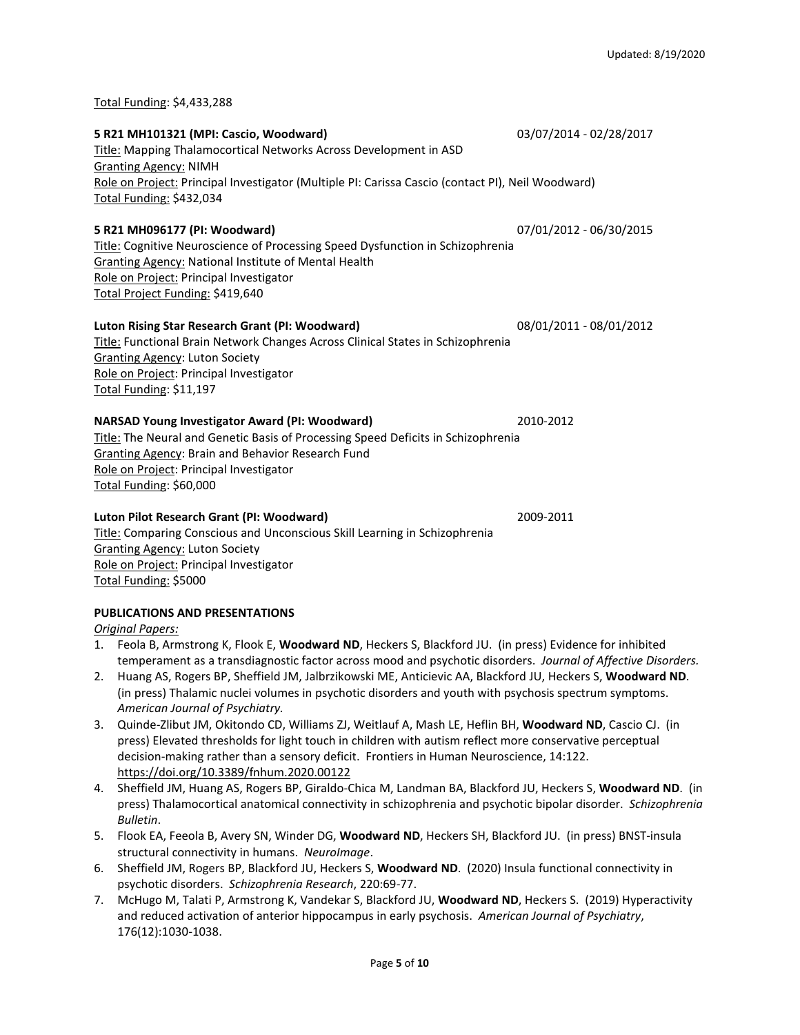Total Funding: \$4,433,288

#### **5 R21 MH101321 (MPI: Cascio, Woodward)** 03/07/2014 - 02/28/2017

# Title: Mapping Thalamocortical Networks Across Development in ASD Granting Agency: NIMH Role on Project: Principal Investigator (Multiple PI: Carissa Cascio (contact PI), Neil Woodward) Total Funding: \$432,034

# **5 R21 MH096177 (PI: Woodward)** 07/01/2012 - 06/30/2015

Title: Cognitive Neuroscience of Processing Speed Dysfunction in Schizophrenia Granting Agency: National Institute of Mental Health Role on Project: Principal Investigator Total Project Funding: \$419,640

# **Luton Rising Star Research Grant (PI: Woodward)** 08/01/2011 - 08/01/2012

Title: Functional Brain Network Changes Across Clinical States in Schizophrenia Granting Agency: Luton Society Role on Project: Principal Investigator Total Funding: \$11,197

# **NARSAD Young Investigator Award (PI: Woodward)** 2010-2012

Title: The Neural and Genetic Basis of Processing Speed Deficits in Schizophrenia Granting Agency: Brain and Behavior Research Fund Role on Project: Principal Investigator Total Funding: \$60,000

# **Luton Pilot Research Grant (PI: Woodward)** 2009-2011

Title: Comparing Conscious and Unconscious Skill Learning in Schizophrenia Granting Agency: Luton Society Role on Project: Principal Investigator Total Funding: \$5000

# **PUBLICATIONS AND PRESENTATIONS**

*Original Papers:*

- 1. Feola B, Armstrong K, Flook E, **Woodward ND**, Heckers S, Blackford JU. (in press) Evidence for inhibited temperament as a transdiagnostic factor across mood and psychotic disorders. *Journal of Affective Disorders.*
- 2. Huang AS, Rogers BP, Sheffield JM, Jalbrzikowski ME, Anticievic AA, Blackford JU, Heckers S, **Woodward ND**. (in press) Thalamic nuclei volumes in psychotic disorders and youth with psychosis spectrum symptoms. *American Journal of Psychiatry.*
- 3. Quinde-Zlibut JM, Okitondo CD, Williams ZJ, Weitlauf A, Mash LE, Heflin BH, **Woodward ND**, Cascio CJ. (in press) Elevated thresholds for light touch in children with autism reflect more conservative perceptual decision-making rather than a sensory deficit. Frontiers in Human Neuroscience, 14:122. <https://doi.org/10.3389/fnhum.2020.00122>
- 4. Sheffield JM, Huang AS, Rogers BP, Giraldo-Chica M, Landman BA, Blackford JU, Heckers S, **Woodward ND**. (in press) Thalamocortical anatomical connectivity in schizophrenia and psychotic bipolar disorder. *Schizophrenia Bulletin*.
- 5. Flook EA, Feeola B, Avery SN, Winder DG, **Woodward ND**, Heckers SH, Blackford JU. (in press) BNST-insula structural connectivity in humans. *NeuroImage*.
- 6. Sheffield JM, Rogers BP, Blackford JU, Heckers S, **Woodward ND**. (2020) Insula functional connectivity in psychotic disorders. *Schizophrenia Research*, 220:69-77.
- 7. McHugo M, Talati P, Armstrong K, Vandekar S, Blackford JU, **Woodward ND**, Heckers S. (2019) Hyperactivity and reduced activation of anterior hippocampus in early psychosis. *American Journal of Psychiatry*, 176(12):1030-1038.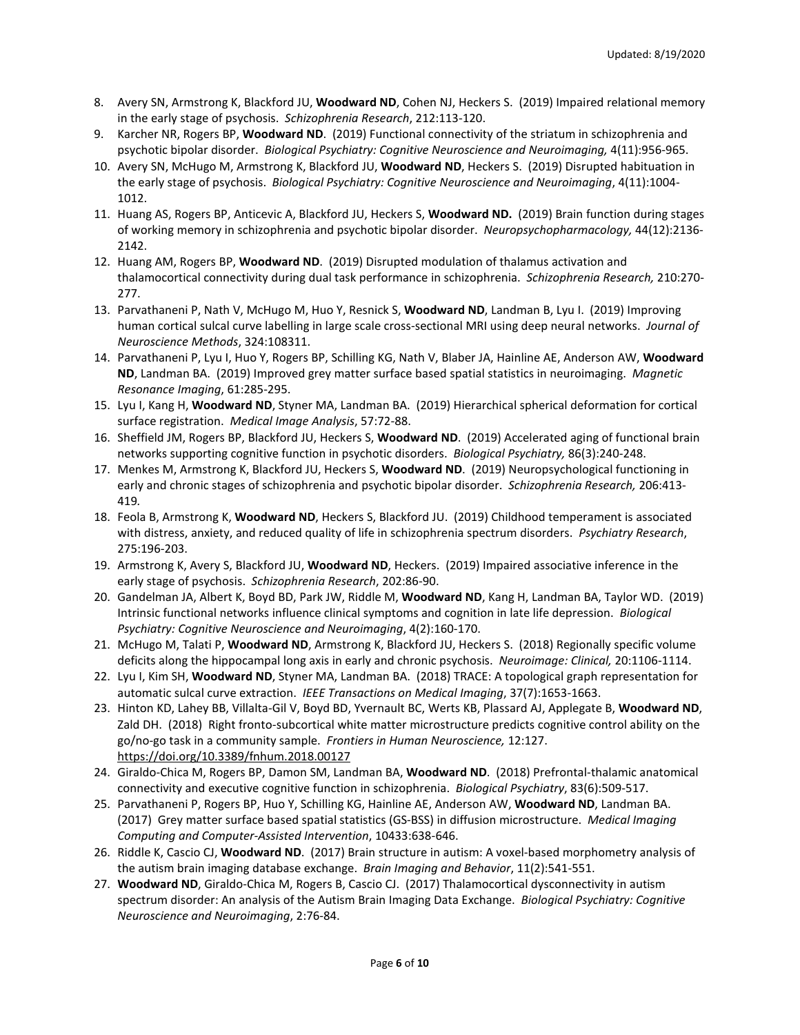- 8. Avery SN, Armstrong K, Blackford JU, **Woodward ND**, Cohen NJ, Heckers S. (2019) Impaired relational memory in the early stage of psychosis. *Schizophrenia Research*, 212:113-120.
- 9. Karcher NR, Rogers BP, **Woodward ND**. (2019) Functional connectivity of the striatum in schizophrenia and psychotic bipolar disorder. *Biological Psychiatry: Cognitive Neuroscience and Neuroimaging,* 4(11):956-965.
- 10. Avery SN, McHugo M, Armstrong K, Blackford JU, **Woodward ND**, Heckers S. (2019) Disrupted habituation in the early stage of psychosis. *Biological Psychiatry: Cognitive Neuroscience and Neuroimaging*, 4(11):1004- 1012.
- 11. Huang AS, Rogers BP, Anticevic A, Blackford JU, Heckers S, **Woodward ND.** (2019) Brain function during stages of working memory in schizophrenia and psychotic bipolar disorder. *Neuropsychopharmacology,* 44(12):2136- 2142.
- 12. Huang AM, Rogers BP, **Woodward ND**. (2019) Disrupted modulation of thalamus activation and thalamocortical connectivity during dual task performance in schizophrenia. *Schizophrenia Research,* 210:270- 277.
- 13. Parvathaneni P, Nath V, McHugo M, Huo Y, Resnick S, **Woodward ND**, Landman B, Lyu I. (2019) Improving human cortical sulcal curve labelling in large scale cross-sectional MRI using deep neural networks. *Journal of Neuroscience Methods*, 324:108311.
- 14. Parvathaneni P, Lyu I, Huo Y, Rogers BP, Schilling KG, Nath V, Blaber JA, Hainline AE, Anderson AW, **Woodward ND**, Landman BA. (2019) Improved grey matter surface based spatial statistics in neuroimaging. *Magnetic Resonance Imaging*, 61:285-295.
- 15. Lyu I, Kang H, **Woodward ND**, Styner MA, Landman BA. (2019) Hierarchical spherical deformation for cortical surface registration. *Medical Image Analysis*, 57:72-88.
- 16. Sheffield JM, Rogers BP, Blackford JU, Heckers S, **Woodward ND**. (2019) Accelerated aging of functional brain networks supporting cognitive function in psychotic disorders. *Biological Psychiatry,* 86(3):240-248.
- 17. Menkes M, Armstrong K, Blackford JU, Heckers S, **Woodward ND**. (2019) Neuropsychological functioning in early and chronic stages of schizophrenia and psychotic bipolar disorder. *Schizophrenia Research,* 206:413- 419*.*
- 18. Feola B, Armstrong K, **Woodward ND**, Heckers S, Blackford JU. (2019) Childhood temperament is associated with distress, anxiety, and reduced quality of life in schizophrenia spectrum disorders. *Psychiatry Research*, 275:196-203.
- 19. Armstrong K, Avery S, Blackford JU, **Woodward ND**, Heckers. (2019) Impaired associative inference in the early stage of psychosis. *Schizophrenia Research*, 202:86-90.
- 20. Gandelman JA, Albert K, Boyd BD, Park JW, Riddle M, **Woodward ND**, Kang H, Landman BA, Taylor WD. (2019) Intrinsic functional networks influence clinical symptoms and cognition in late life depression. *Biological Psychiatry: Cognitive Neuroscience and Neuroimaging*, 4(2):160-170.
- 21. McHugo M, Talati P, **Woodward ND**, Armstrong K, Blackford JU, Heckers S. (2018) Regionally specific volume deficits along the hippocampal long axis in early and chronic psychosis. *Neuroimage: Clinical,* 20:1106-1114.
- 22. Lyu I, Kim SH, **Woodward ND**, Styner MA, Landman BA. (2018) TRACE: A topological graph representation for automatic sulcal curve extraction. *IEEE Transactions on Medical Imaging*, 37(7):1653-1663.
- 23. Hinton KD, Lahey BB, Villalta-Gil V, Boyd BD, Yvernault BC, Werts KB, Plassard AJ, Applegate B, **Woodward ND**, Zald DH. (2018) Right fronto-subcortical white matter microstructure predicts cognitive control ability on the go/no-go task in a community sample. *Frontiers in Human Neuroscience,* 12:127. <https://doi.org/10.3389/fnhum.2018.00127>
- 24. Giraldo-Chica M, Rogers BP, Damon SM, Landman BA, **Woodward ND**. (2018) Prefrontal-thalamic anatomical connectivity and executive cognitive function in schizophrenia. *Biological Psychiatry*, 83(6):509-517.
- 25. Parvathaneni P, Rogers BP, Huo Y, Schilling KG, Hainline AE, Anderson AW, **Woodward ND**, Landman BA. (2017) Grey matter surface based spatial statistics (GS-BSS) in diffusion microstructure. *Medical Imaging Computing and Computer-Assisted Intervention*, 10433:638-646.
- 26. Riddle K, Cascio CJ, **Woodward ND**. (2017) Brain structure in autism: A voxel-based morphometry analysis of the autism brain imaging database exchange. *Brain Imaging and Behavior*, 11(2):541-551.
- 27. **Woodward ND**, Giraldo-Chica M, Rogers B, Cascio CJ. (2017) Thalamocortical dysconnectivity in autism spectrum disorder: An analysis of the Autism Brain Imaging Data Exchange. *Biological Psychiatry: Cognitive Neuroscience and Neuroimaging*, 2:76-84.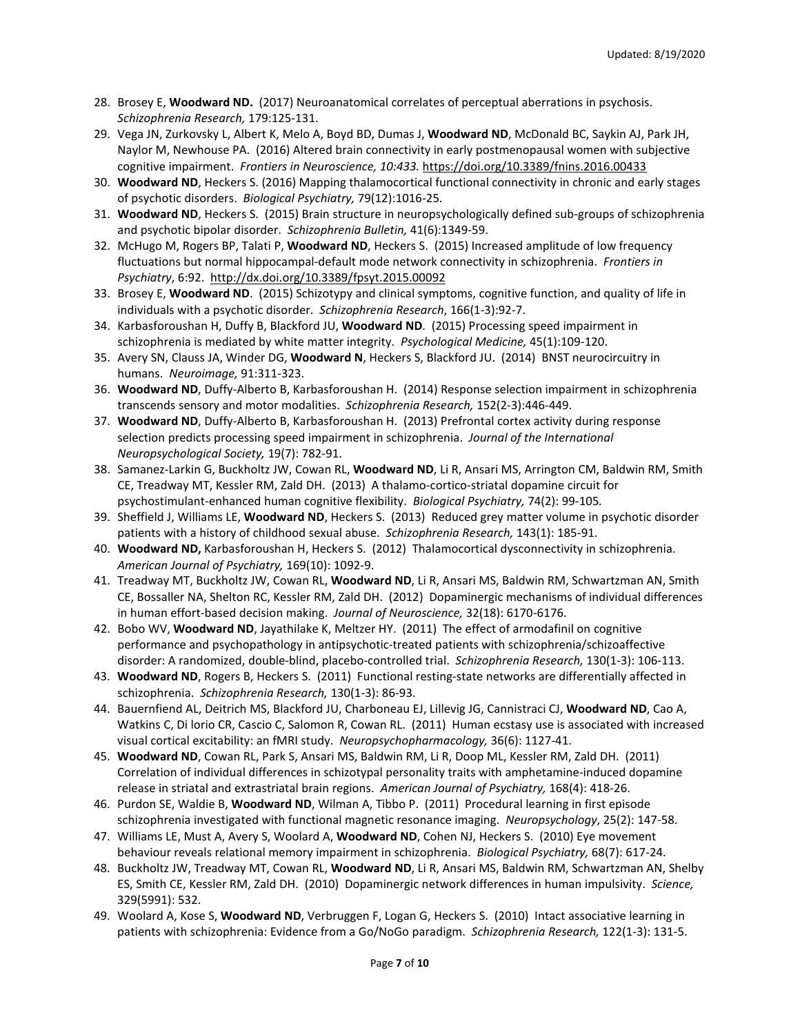- 28. Brosey E, **Woodward ND.** (2017) Neuroanatomical correlates of perceptual aberrations in psychosis. *Schizophrenia Research,* 179:125-131.
- 29. Vega JN, Zurkovsky L, Albert K, Melo A, Boyd BD, Dumas J, **Woodward ND**, McDonald BC, Saykin AJ, Park JH, Naylor M, Newhouse PA. (2016) Altered brain connectivity in early postmenopausal women with subjective cognitive impairment. *Frontiers in Neuroscience, 10:433.* <https://doi.org/10.3389/fnins.2016.00433>
- 30. **Woodward ND**, Heckers S. (2016) Mapping thalamocortical functional connectivity in chronic and early stages of psychotic disorders. *Biological Psychiatry,* 79(12):1016-25*.*
- 31. **Woodward ND**, Heckers S. (2015) Brain structure in neuropsychologically defined sub-groups of schizophrenia and psychotic bipolar disorder. *Schizophrenia Bulletin,* 41(6):1349-59.
- 32. McHugo M, Rogers BP, Talati P, **Woodward ND**, Heckers S. (2015) Increased amplitude of low frequency fluctuations but normal hippocampal-default mode network connectivity in schizophrenia. *Frontiers in Psychiatry*, 6:92. <http://dx.doi.org/10.3389/fpsyt.2015.00092>
- 33. Brosey E, **Woodward ND**. (2015) Schizotypy and clinical symptoms, cognitive function, and quality of life in individuals with a psychotic disorder. *Schizophrenia Research*, 166(1-3):92-7.
- 34. Karbasforoushan H, Duffy B, Blackford JU, **Woodward ND**. (2015) Processing speed impairment in schizophrenia is mediated by white matter integrity. *Psychological Medicine,* 45(1):109-120.
- 35. Avery SN, Clauss JA, Winder DG, **Woodward N**, Heckers S, Blackford JU. (2014) BNST neurocircuitry in humans. *Neuroimage,* 91:311-323.
- 36. **Woodward ND**, Duffy-Alberto B, Karbasforoushan H. (2014) Response selection impairment in schizophrenia transcends sensory and motor modalities. *Schizophrenia Research,* 152(2-3):446-449.
- 37. **Woodward ND**, Duffy-Alberto B, Karbasforoushan H. (2013) Prefrontal cortex activity during response selection predicts processing speed impairment in schizophrenia. *Journal of the International Neuropsychological Society,* 19(7): 782-91.
- 38. Samanez-Larkin G, Buckholtz JW, Cowan RL, **Woodward ND**, Li R, Ansari MS, Arrington CM, Baldwin RM, Smith CE, Treadway MT, Kessler RM, Zald DH. (2013) A thalamo-cortico-striatal dopamine circuit for psychostimulant-enhanced human cognitive flexibility. *Biological Psychiatry,* 74(2): 99-105*.*
- 39. Sheffield J, Williams LE, **Woodward ND**, Heckers S. (2013) Reduced grey matter volume in psychotic disorder patients with a history of childhood sexual abuse. *Schizophrenia Research,* 143(1): 185-91.
- 40. **Woodward ND,** Karbasforoushan H, Heckers S. (2012) Thalamocortical dysconnectivity in schizophrenia. *American Journal of Psychiatry,* 169(10): 1092-9.
- 41. Treadway MT, Buckholtz JW, Cowan RL, **Woodward ND**, Li R, Ansari MS, Baldwin RM, Schwartzman AN, Smith CE, Bossaller NA, Shelton RC, Kessler RM, Zald DH. (2012) Dopaminergic mechanisms of individual differences in human effort-based decision making. *Journal of Neuroscience,* 32(18): 6170-6176.
- 42. Bobo WV, **Woodward ND**, Jayathilake K, Meltzer HY. (2011) The effect of armodafinil on cognitive performance and psychopathology in antipsychotic-treated patients with schizophrenia/schizoaffective disorder: A randomized, double-blind, placebo-controlled trial. *Schizophrenia Research,* 130(1-3): 106-113.
- 43. **Woodward ND**, Rogers B, Heckers S. (2011) Functional resting-state networks are differentially affected in schizophrenia. *Schizophrenia Research,* 130(1-3): 86-93.
- 44. Bauernfiend AL, Deitrich MS, Blackford JU, Charboneau EJ, Lillevig JG, Cannistraci CJ, **Woodward ND**, Cao A, Watkins C, Di lorio CR, Cascio C, Salomon R, Cowan RL. (2011) Human ecstasy use is associated with increased visual cortical excitability: an fMRI study. *Neuropsychopharmacology,* 36(6): 1127-41.
- 45. **Woodward ND**, Cowan RL, Park S, Ansari MS, Baldwin RM, Li R, Doop ML, Kessler RM, Zald DH. (2011) Correlation of individual differences in schizotypal personality traits with amphetamine-induced dopamine release in striatal and extrastriatal brain regions. *American Journal of Psychiatry,* 168(4): 418-26.
- 46. Purdon SE, Waldie B, **Woodward ND**, Wilman A, Tibbo P. (2011) Procedural learning in first episode schizophrenia investigated with functional magnetic resonance imaging. *Neuropsychology*, 25(2): 147-58.
- 47. Williams LE, Must A, Avery S, Woolard A, **Woodward ND**, Cohen NJ, Heckers S. (2010) Eye movement behaviour reveals relational memory impairment in schizophrenia. *Biological Psychiatry,* 68(7): 617-24.
- 48. Buckholtz JW, Treadway MT, Cowan RL, **Woodward ND**, Li R, Ansari MS, Baldwin RM, Schwartzman AN, Shelby ES, Smith CE, Kessler RM, Zald DH. (2010) Dopaminergic network differences in human impulsivity. *Science,*  329(5991): 532.
- 49. Woolard A, Kose S, **Woodward ND**, Verbruggen F, Logan G, Heckers S. (2010) Intact associative learning in patients with schizophrenia: Evidence from a Go/NoGo paradigm. *Schizophrenia Research,* 122(1-3): 131-5.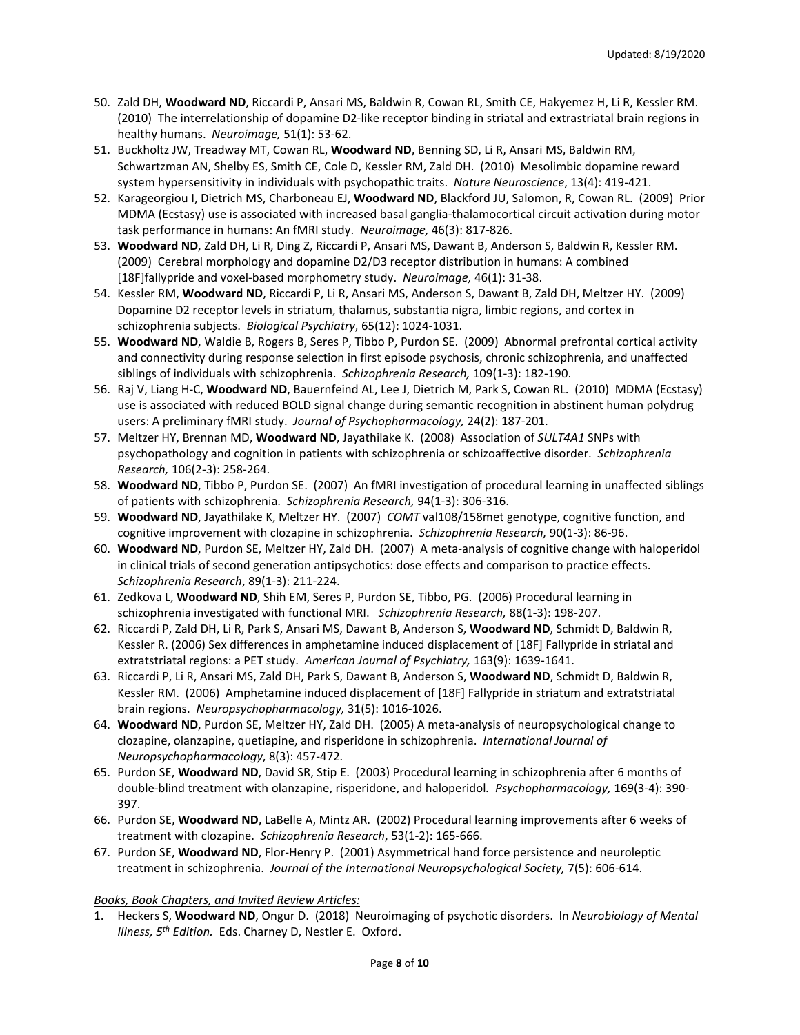- 50. Zald DH, **Woodward ND**, Riccardi P, Ansari MS, Baldwin R, Cowan RL, Smith CE, Hakyemez H, Li R, Kessler RM. (2010) The interrelationship of dopamine D2-like receptor binding in striatal and extrastriatal brain regions in healthy humans. *Neuroimage,* 51(1): 53-62.
- 51. Buckholtz JW, Treadway MT, Cowan RL, **Woodward ND**, Benning SD, Li R, Ansari MS, Baldwin RM, Schwartzman AN, Shelby ES, Smith CE, Cole D, Kessler RM, Zald DH. (2010) Mesolimbic dopamine reward system hypersensitivity in individuals with psychopathic traits. *Nature Neuroscience*, 13(4): 419-421.
- 52. Karageorgiou I, Dietrich MS, Charboneau EJ, **Woodward ND**, Blackford JU, Salomon, R, Cowan RL. (2009) Prior MDMA (Ecstasy) use is associated with increased basal ganglia-thalamocortical circuit activation during motor task performance in humans: An fMRI study. *Neuroimage,* 46(3): 817-826.
- 53. **Woodward ND**, Zald DH, Li R, Ding Z, Riccardi P, Ansari MS, Dawant B, Anderson S, Baldwin R, Kessler RM. (2009) Cerebral morphology and dopamine D2/D3 receptor distribution in humans: A combined [18F]fallypride and voxel-based morphometry study. *Neuroimage,* 46(1): 31-38.
- 54. Kessler RM, **Woodward ND**, Riccardi P, Li R, Ansari MS, Anderson S, Dawant B, Zald DH, Meltzer HY. (2009) Dopamine D2 receptor levels in striatum, thalamus, substantia nigra, limbic regions, and cortex in schizophrenia subjects. *Biological Psychiatry*, 65(12): 1024-1031.
- 55. **Woodward ND**, Waldie B, Rogers B, Seres P, Tibbo P, Purdon SE. (2009) Abnormal prefrontal cortical activity and connectivity during response selection in first episode psychosis, chronic schizophrenia, and unaffected siblings of individuals with schizophrenia. *Schizophrenia Research,* 109(1-3): 182-190.
- 56. Raj V, Liang H-C, **Woodward ND**, Bauernfeind AL, Lee J, Dietrich M, Park S, Cowan RL. (2010) MDMA (Ecstasy) use is associated with reduced BOLD signal change during semantic recognition in abstinent human polydrug users: A preliminary fMRI study. *Journal of Psychopharmacology,* 24(2): 187-201.
- 57. Meltzer HY, Brennan MD, **Woodward ND**, Jayathilake K. (2008) Association of *SULT4A1* SNPs with psychopathology and cognition in patients with schizophrenia or schizoaffective disorder. *Schizophrenia Research,* 106(2-3): 258-264.
- 58. **Woodward ND**, Tibbo P, Purdon SE. (2007) An fMRI investigation of procedural learning in unaffected siblings of patients with schizophrenia. *Schizophrenia Research,* 94(1-3): 306-316.
- 59. **Woodward ND**, Jayathilake K, Meltzer HY. (2007) *COMT* val108/158met genotype, cognitive function, and cognitive improvement with clozapine in schizophrenia. *Schizophrenia Research,* 90(1-3): 86-96.
- 60. **Woodward ND**, Purdon SE, Meltzer HY, Zald DH. (2007) A meta-analysis of cognitive change with haloperidol in clinical trials of second generation antipsychotics: dose effects and comparison to practice effects. *Schizophrenia Research*, 89(1-3): 211-224.
- 61. Zedkova L, **Woodward ND**, Shih EM, Seres P, Purdon SE, Tibbo, PG. (2006) Procedural learning in schizophrenia investigated with functional MRI. *Schizophrenia Research,* 88(1-3): 198-207.
- 62. Riccardi P, Zald DH, Li R, Park S, Ansari MS, Dawant B, Anderson S, **Woodward ND**, Schmidt D, Baldwin R, Kessler R. (2006) Sex differences in amphetamine induced displacement of [18F] Fallypride in striatal and extratstriatal regions: a PET study. *American Journal of Psychiatry,* 163(9): 1639-1641.
- 63. Riccardi P, Li R, Ansari MS, Zald DH, Park S, Dawant B, Anderson S, **Woodward ND**, Schmidt D, Baldwin R, Kessler RM. (2006) Amphetamine induced displacement of [18F] Fallypride in striatum and extratstriatal brain regions. *Neuropsychopharmacology,* 31(5): 1016-1026.
- 64. **Woodward ND**, Purdon SE, Meltzer HY, Zald DH. (2005) A meta-analysis of neuropsychological change to clozapine, olanzapine, quetiapine, and risperidone in schizophrenia. *International Journal of Neuropsychopharmacology*, 8(3): 457-472*.*
- 65. Purdon SE, **Woodward ND**, David SR, Stip E. (2003) Procedural learning in schizophrenia after 6 months of double-blind treatment with olanzapine, risperidone, and haloperidol*. Psychopharmacology,* 169(3-4): 390- 397.
- 66. Purdon SE, **Woodward ND**, LaBelle A, Mintz AR. (2002) Procedural learning improvements after 6 weeks of treatment with clozapine. *Schizophrenia Research*, 53(1-2): 165-666.
- 67. Purdon SE, **Woodward ND**, Flor-Henry P. (2001) Asymmetrical hand force persistence and neuroleptic treatment in schizophrenia. *Journal of the International Neuropsychological Society,* 7(5): 606-614.

# *Books, Book Chapters, and Invited Review Articles:*

1. Heckers S, **Woodward ND**, Ongur D. (2018) Neuroimaging of psychotic disorders. In *Neurobiology of Mental Illness, 5th Edition.* Eds. Charney D, Nestler E. Oxford.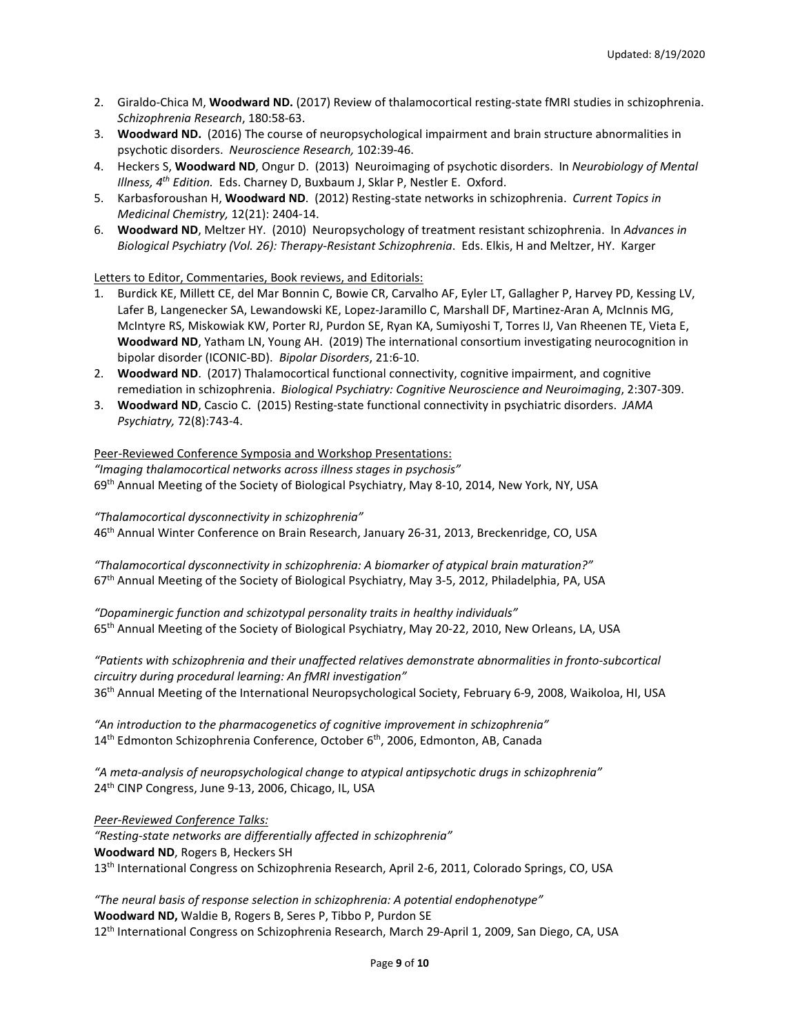- 2. Giraldo-Chica M, **Woodward ND.** (2017) Review of thalamocortical resting-state fMRI studies in schizophrenia. *Schizophrenia Research*, 180:58-63.
- 3. **Woodward ND.** (2016) The course of neuropsychological impairment and brain structure abnormalities in psychotic disorders. *Neuroscience Research,* 102:39-46.
- 4. Heckers S, **Woodward ND**, Ongur D. (2013) Neuroimaging of psychotic disorders. In *Neurobiology of Mental Illness, 4th Edition.* Eds. Charney D, Buxbaum J, Sklar P, Nestler E. Oxford.
- 5. Karbasforoushan H, **Woodward ND**. (2012) Resting-state networks in schizophrenia. *Current Topics in Medicinal Chemistry,* 12(21): 2404-14.
- 6. **Woodward ND**, Meltzer HY. (2010) Neuropsychology of treatment resistant schizophrenia. In *Advances in Biological Psychiatry (Vol. 26): Therapy-Resistant Schizophrenia*. Eds. Elkis, H and Meltzer, HY. Karger

Letters to Editor, Commentaries, Book reviews, and Editorials:

- 1. Burdick KE, Millett CE, del Mar Bonnin C, Bowie CR, Carvalho AF, Eyler LT, Gallagher P, Harvey PD, Kessing LV, Lafer B, Langenecker SA, Lewandowski KE, Lopez-Jaramillo C, Marshall DF, Martinez-Aran A, McInnis MG, McIntyre RS, Miskowiak KW, Porter RJ, Purdon SE, Ryan KA, Sumiyoshi T, Torres IJ, Van Rheenen TE, Vieta E, **Woodward ND**, Yatham LN, Young AH. (2019) The international consortium investigating neurocognition in bipolar disorder (ICONIC-BD). *Bipolar Disorders*, 21:6-10.
- 2. **Woodward ND**. (2017) Thalamocortical functional connectivity, cognitive impairment, and cognitive remediation in schizophrenia. *Biological Psychiatry: Cognitive Neuroscience and Neuroimaging*, 2:307-309.
- 3. **Woodward ND**, Cascio C. (2015) Resting-state functional connectivity in psychiatric disorders. *JAMA Psychiatry,* 72(8):743-4.

# Peer-Reviewed Conference Symposia and Workshop Presentations:

*"Imaging thalamocortical networks across illness stages in psychosis"*  69th Annual Meeting of the Society of Biological Psychiatry, May 8-10, 2014, New York, NY, USA

*"Thalamocortical dysconnectivity in schizophrenia"* 46th Annual Winter Conference on Brain Research, January 26-31, 2013, Breckenridge, CO, USA

*"Thalamocortical dysconnectivity in schizophrenia: A biomarker of atypical brain maturation?"* 67th Annual Meeting of the Society of Biological Psychiatry, May 3-5, 2012, Philadelphia, PA, USA

*"Dopaminergic function and schizotypal personality traits in healthy individuals"*  65th Annual Meeting of the Society of Biological Psychiatry, May 20-22, 2010, New Orleans, LA, USA

*"Patients with schizophrenia and their unaffected relatives demonstrate abnormalities in fronto-subcortical circuitry during procedural learning: An fMRI investigation"* 36th Annual Meeting of the International Neuropsychological Society, February 6-9, 2008, Waikoloa, HI, USA

*"An introduction to the pharmacogenetics of cognitive improvement in schizophrenia"* 14<sup>th</sup> Edmonton Schizophrenia Conference, October 6<sup>th</sup>, 2006, Edmonton, AB, Canada

*"A meta-analysis of neuropsychological change to atypical antipsychotic drugs in schizophrenia"*  24th CINP Congress, June 9-13, 2006, Chicago, IL, USA

*Peer-Reviewed Conference Talks: "Resting-state networks are differentially affected in schizophrenia"* **Woodward ND**, Rogers B, Heckers SH 13<sup>th</sup> International Congress on Schizophrenia Research, April 2-6, 2011, Colorado Springs, CO, USA

*"The neural basis of response selection in schizophrenia: A potential endophenotype"*  **Woodward ND,** Waldie B, Rogers B, Seres P, Tibbo P, Purdon SE 12<sup>th</sup> International Congress on Schizophrenia Research, March 29-April 1, 2009, San Diego, CA, USA